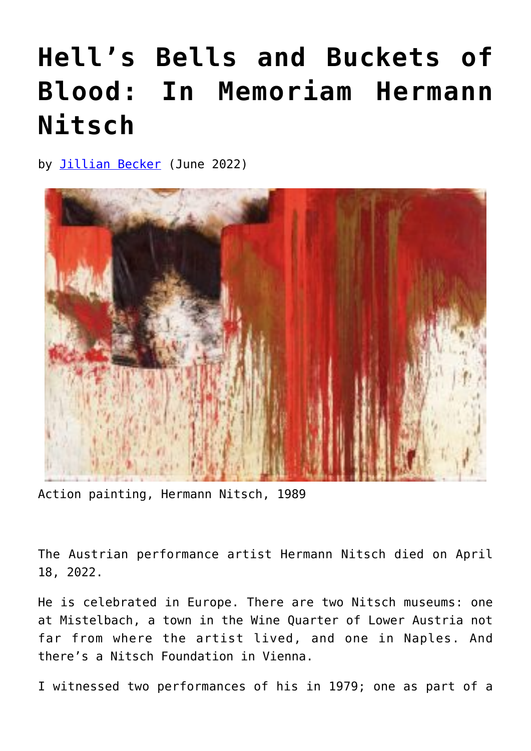## **[Hell's Bells and Buckets of](https://www.newenglishreview.org/articles/hells-bells-and-buckets-of-blood-in-memoriam-to-hermann-nitsch/) [Blood: In Memoriam Hermann](https://www.newenglishreview.org/articles/hells-bells-and-buckets-of-blood-in-memoriam-to-hermann-nitsch/) [Nitsch](https://www.newenglishreview.org/articles/hells-bells-and-buckets-of-blood-in-memoriam-to-hermann-nitsch/)**

by [Jillian Becker](https://www.newenglishreview.org/authors/jillian-becker/) (June 2022)



Action painting, Hermann Nitsch, 1989

The Austrian performance artist Hermann Nitsch died on April 18, 2022.

He is celebrated in Europe. There are two Nitsch museums: one at Mistelbach, a town in the Wine Quarter of Lower Austria not far from where the artist lived, and one in Naples. And there's a Nitsch Foundation in Vienna.

I witnessed two performances of his in 1979; one as part of a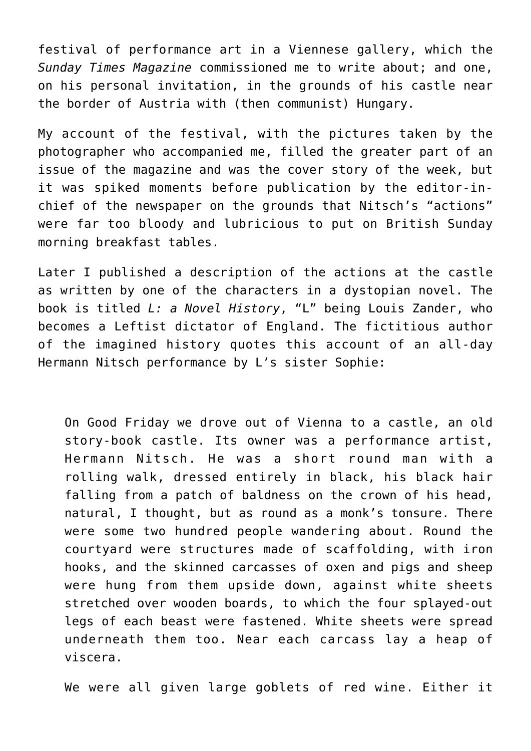festival of performance art in a Viennese gallery, which the *Sunday Times Magazine* commissioned me to write about; and one, on his personal invitation, in the grounds of his castle near the border of Austria with (then communist) Hungary.

My account of the festival, with the pictures taken by the photographer who accompanied me, filled the greater part of an issue of the magazine and was the cover story of the week, but it was spiked moments before publication by the editor-inchief of the newspaper on the grounds that Nitsch's "actions" were far too bloody and lubricious to put on British Sunday morning breakfast tables.

Later I published a description of the actions at the castle as written by one of the characters in a dystopian novel. The book is titled *L: a Novel History*, "L" being Louis Zander, who becomes a Leftist dictator of England. The fictitious author of the imagined history quotes this account of an all-day Hermann Nitsch performance by L's sister Sophie:

On Good Friday we drove out of Vienna to a castle, an old story-book castle. Its owner was a performance artist, Hermann Nitsch. He was a short round man with a rolling walk, dressed entirely in black, his black hair falling from a patch of baldness on the crown of his head, natural, I thought, but as round as a monk's tonsure. There were some two hundred people wandering about. Round the courtyard were structures made of scaffolding, with iron hooks, and the skinned carcasses of oxen and pigs and sheep were hung from them upside down, against white sheets stretched over wooden boards, to which the four splayed-out legs of each beast were fastened. White sheets were spread underneath them too. Near each carcass lay a heap of viscera.

We were all given large goblets of red wine. Either it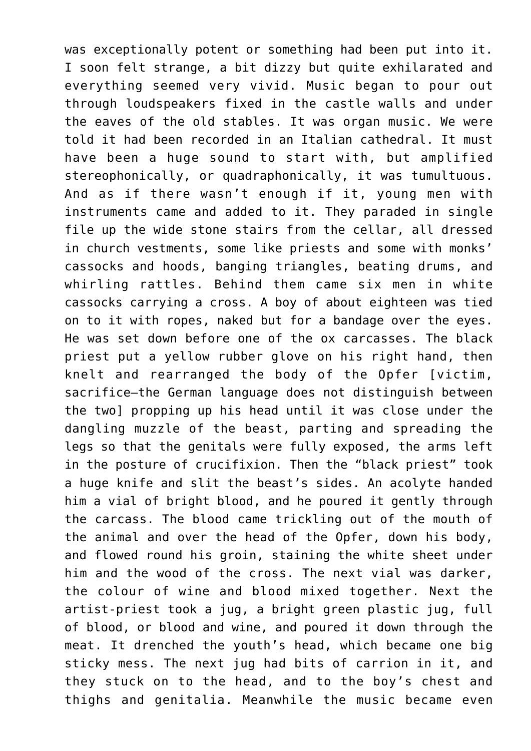was exceptionally potent or something had been put into it. I soon felt strange, a bit dizzy but quite exhilarated and everything seemed very vivid. Music began to pour out through loudspeakers fixed in the castle walls and under the eaves of the old stables. It was organ music. We were told it had been recorded in an Italian cathedral. It must have been a huge sound to start with, but amplified stereophonically, or quadraphonically, it was tumultuous. And as if there wasn't enough if it, young men with instruments came and added to it. They paraded in single file up the wide stone stairs from the cellar, all dressed in church vestments, some like priests and some with monks' cassocks and hoods, banging triangles, beating drums, and whirling rattles. Behind them came six men in white cassocks carrying a cross. A boy of about eighteen was tied on to it with ropes, naked but for a bandage over the eyes. He was set down before one of the ox carcasses. The black priest put a yellow rubber glove on his right hand, then knelt and rearranged the body of the Opfer [victim, sacrifice—the German language does not distinguish between the two] propping up his head until it was close under the dangling muzzle of the beast, parting and spreading the legs so that the genitals were fully exposed, the arms left in the posture of crucifixion. Then the "black priest" took a huge knife and slit the beast's sides. An acolyte handed him a vial of bright blood, and he poured it gently through the carcass. The blood came trickling out of the mouth of the animal and over the head of the Opfer, down his body, and flowed round his groin, staining the white sheet under him and the wood of the cross. The next vial was darker, the colour of wine and blood mixed together. Next the artist-priest took a jug, a bright green plastic jug, full of blood, or blood and wine, and poured it down through the meat. It drenched the youth's head, which became one big sticky mess. The next jug had bits of carrion in it, and they stuck on to the head, and to the boy's chest and thighs and genitalia. Meanwhile the music became even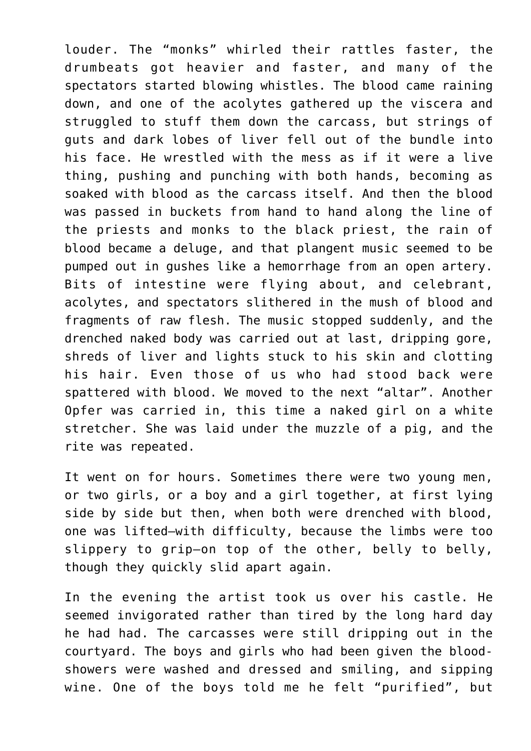louder. The "monks" whirled their rattles faster, the drumbeats got heavier and faster, and many of the spectators started blowing whistles. The blood came raining down, and one of the acolytes gathered up the viscera and struggled to stuff them down the carcass, but strings of guts and dark lobes of liver fell out of the bundle into his face. He wrestled with the mess as if it were a live thing, pushing and punching with both hands, becoming as soaked with blood as the carcass itself. And then the blood was passed in buckets from hand to hand along the line of the priests and monks to the black priest, the rain of blood became a deluge, and that plangent music seemed to be pumped out in gushes like a hemorrhage from an open artery. Bits of intestine were flying about, and celebrant, acolytes, and spectators slithered in the mush of blood and fragments of raw flesh. The music stopped suddenly, and the drenched naked body was carried out at last, dripping gore, shreds of liver and lights stuck to his skin and clotting his hair. Even those of us who had stood back were spattered with blood. We moved to the next "altar". Another Opfer was carried in, this time a naked girl on a white stretcher. She was laid under the muzzle of a pig, and the rite was repeated.

It went on for hours. Sometimes there were two young men, or two girls, or a boy and a girl together, at first lying side by side but then, when both were drenched with blood, one was lifted—with difficulty, because the limbs were too slippery to grip—on top of the other, belly to belly, though they quickly slid apart again.

In the evening the artist took us over his castle. He seemed invigorated rather than tired by the long hard day he had had. The carcasses were still dripping out in the courtyard. The boys and girls who had been given the bloodshowers were washed and dressed and smiling, and sipping wine. One of the boys told me he felt "purified", but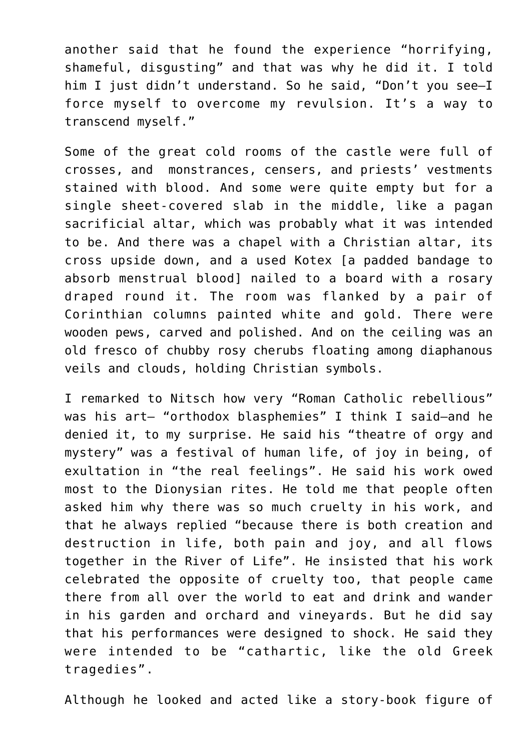another said that he found the experience "horrifying, shameful, disgusting" and that was why he did it. I told him I just didn't understand. So he said, "Don't you see-I force myself to overcome my revulsion. It's a way to transcend myself."

Some of the great cold rooms of the castle were full of crosses, and monstrances, censers, and priests' vestments stained with blood. And some were quite empty but for a single sheet-covered slab in the middle, like a pagan sacrificial altar, which was probably what it was intended to be. And there was a chapel with a Christian altar, its cross upside down, and a used Kotex [a padded bandage to absorb menstrual blood] nailed to a board with a rosary draped round it. The room was flanked by a pair of Corinthian columns painted white and gold. There were wooden pews, carved and polished. And on the ceiling was an old fresco of chubby rosy cherubs floating among diaphanous veils and clouds, holding Christian symbols.

I remarked to Nitsch how very "Roman Catholic rebellious" was his art- "orthodox blasphemies" I think I said-and he denied it, to my surprise. He said his "theatre of orgy and mystery" was a festival of human life, of joy in being, of exultation in "the real feelings". He said his work owed most to the Dionysian rites. He told me that people often asked him why there was so much cruelty in his work, and that he always replied "because there is both creation and destruction in life, both pain and joy, and all flows together in the River of Life". He insisted that his work celebrated the opposite of cruelty too, that people came there from all over the world to eat and drink and wander in his garden and orchard and vineyards. But he did say that his performances were designed to shock. He said they were intended to be "cathartic, like the old Greek tragedies".

Although he looked and acted like a story-book figure of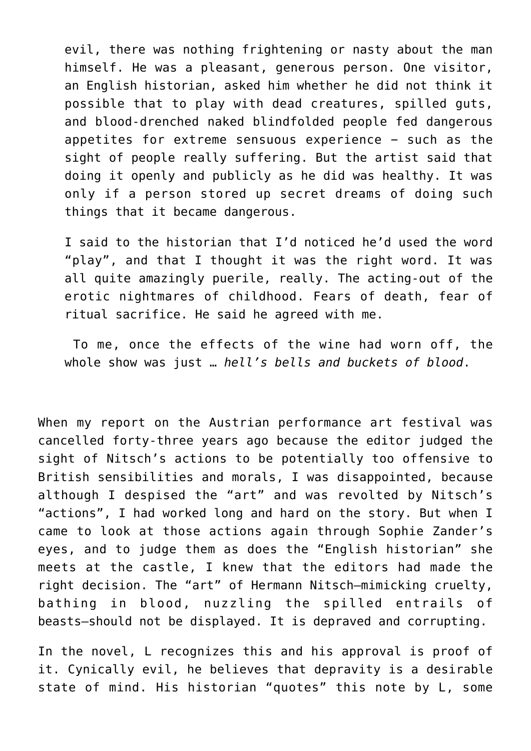evil, there was nothing frightening or nasty about the man himself. He was a pleasant, generous person. One visitor, an English historian, asked him whether he did not think it possible that to play with dead creatures, spilled guts, and blood-drenched naked blindfolded people fed dangerous appetites for extreme sensuous experience − such as the sight of people really suffering. But the artist said that doing it openly and publicly as he did was healthy. It was only if a person stored up secret dreams of doing such things that it became dangerous.

I said to the historian that I'd noticed he'd used the word "play", and that I thought it was the right word. It was all quite amazingly puerile, really. The acting-out of the erotic nightmares of childhood. Fears of death, fear of ritual sacrifice. He said he agreed with me.

 To me, once the effects of the wine had worn off, the whole show was just … *hell's bells and buckets of blood*.

When my report on the Austrian performance art festival was cancelled forty-three years ago because the editor judged the sight of Nitsch's actions to be potentially too offensive to British sensibilities and morals, I was disappointed, because although I despised the "art" and was revolted by Nitsch's "actions", I had worked long and hard on the story. But when I came to look at those actions again through Sophie Zander's eyes, and to judge them as does the "English historian" she meets at the castle, I knew that the editors had made the right decision. The "art" of Hermann Nitsch—mimicking cruelty, bathing in blood, nuzzling the spilled entrails of beasts—should not be displayed. It is depraved and corrupting.

In the novel, L recognizes this and his approval is proof of it. Cynically evil, he believes that depravity is a desirable state of mind. His historian "quotes" this note by L, some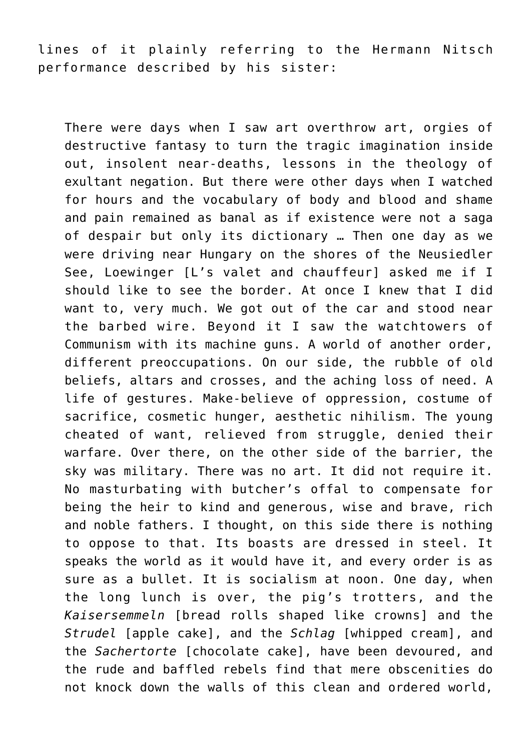lines of it plainly referring to the Hermann Nitsch performance described by his sister:

There were days when I saw art overthrow art, orgies of destructive fantasy to turn the tragic imagination inside out, insolent near-deaths, lessons in the theology of exultant negation. But there were other days when I watched for hours and the vocabulary of body and blood and shame and pain remained as banal as if existence were not a saga of despair but only its dictionary … Then one day as we were driving near Hungary on the shores of the Neusiedler See, Loewinger [L's valet and chauffeur] asked me if I should like to see the border. At once I knew that I did want to, very much. We got out of the car and stood near the barbed wire. Beyond it I saw the watchtowers of Communism with its machine guns. A world of another order, different preoccupations. On our side, the rubble of old beliefs, altars and crosses, and the aching loss of need. A life of gestures. Make-believe of oppression, costume of sacrifice, cosmetic hunger, aesthetic nihilism. The young cheated of want, relieved from struggle, denied their warfare. Over there, on the other side of the barrier, the sky was military. There was no art. It did not require it. No masturbating with butcher's offal to compensate for being the heir to kind and generous, wise and brave, rich and noble fathers. I thought, on this side there is nothing to oppose to that. Its boasts are dressed in steel. It speaks the world as it would have it, and every order is as sure as a bullet. It is socialism at noon. One day, when the long lunch is over, the pig's trotters, and the *Kaisersemmeln* [bread rolls shaped like crowns] and the *Strudel* [apple cake], and the *Schlag* [whipped cream], and the *Sachertorte* [chocolate cake], have been devoured, and the rude and baffled rebels find that mere obscenities do not knock down the walls of this clean and ordered world,